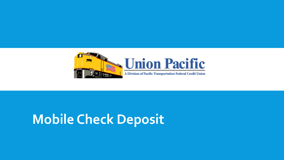

# **Mobile Check Deposit**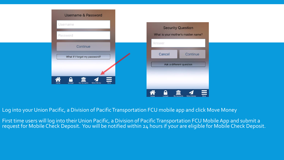| <b>Username &amp; Password</b>                                                          |                                                                    |
|-----------------------------------------------------------------------------------------|--------------------------------------------------------------------|
| Username                                                                                | <b>Security Question</b>                                           |
| Password                                                                                | What is your mother's maiden name?                                 |
| Continue                                                                                | Answer                                                             |
| What if I forgot my password?                                                           | Continue<br>Cancel                                                 |
|                                                                                         | Ask a different question                                           |
| $\hat{\mathbf{h}}$<br>$\begin{array}{c} \mathbf{D} \\ \mathbf{Locked} \end{array}$<br>皿 |                                                                    |
| More<br>Move Money<br>My Accounts                                                       |                                                                    |
|                                                                                         | Â<br>≏<br>Ш<br>More<br>My Accounts<br>Move Money<br>Home<br>Locked |

Log into your Union Pacific, a Division of Pacific Transportation FCU mobile app and click Move Money

First time users will log into their Union Pacific, a Division of Pacific Transportation FCU Mobile App and submit a request for Mobile Check Deposit. You will be notified within 24 hours if your are eligible for Mobile Check Deposit.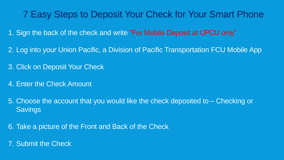### 7 Easy Steps to Deposit Your Check for Your Smart Phone

- 1. Sign the back of the check and write "For Mobile Deposit at UPCU only"
- 2. Log into your Union Pacific, a Division of Pacific Transportation FCU Mobile App
- 3. Click on Deposit Your Check
- 4. Enter the Check Amount
- 5. Choose the account that you would like the check deposited to Checking or **Savings**
- 6. Take a picture of the Front and Back of the Check
- 7. Submit the Check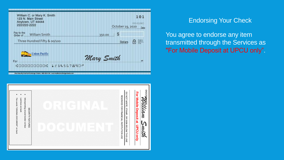| William C. or Mary K. Smith<br>123 N. Main Street<br>Anytown, UT 44444<br>222/222-2222                                           | 101<br>000-03/003<br>October 19, 2020<br>Date |
|----------------------------------------------------------------------------------------------------------------------------------|-----------------------------------------------|
| Pay to the<br><b>William Smith</b><br>Order of                                                                                   | S<br>350.00                                   |
| Three Hundred Fifty & 00/100                                                                                                     | beratus<br>Estatus e<br>Dollars               |
| <b>Union Pacific</b><br>For<br>:000000000: 1234567890*<br>metted Exchange Effects 1-800-323-0104 www.oradionceschangecreatis.com | Mary Smith<br>NP                              |



#### Endorsing Your Check

You agree to endorse any item transmitted through the Services as "For Mobile Deposit at UPCU only".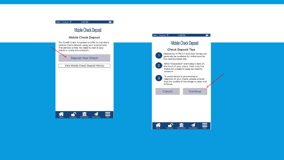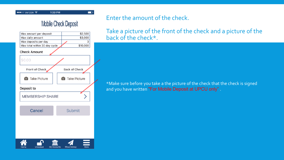

#### **Mobile Check Deposit**

 $\blacksquare$ 

1:39 PM



#### Enter the amount of the check.

Take a picture of the front of the check and a picture of the back of the check\*.

\*Make sure before you take a the picture of the check that the check is signed and you have written "For Mobile Deposit at UPCU only".